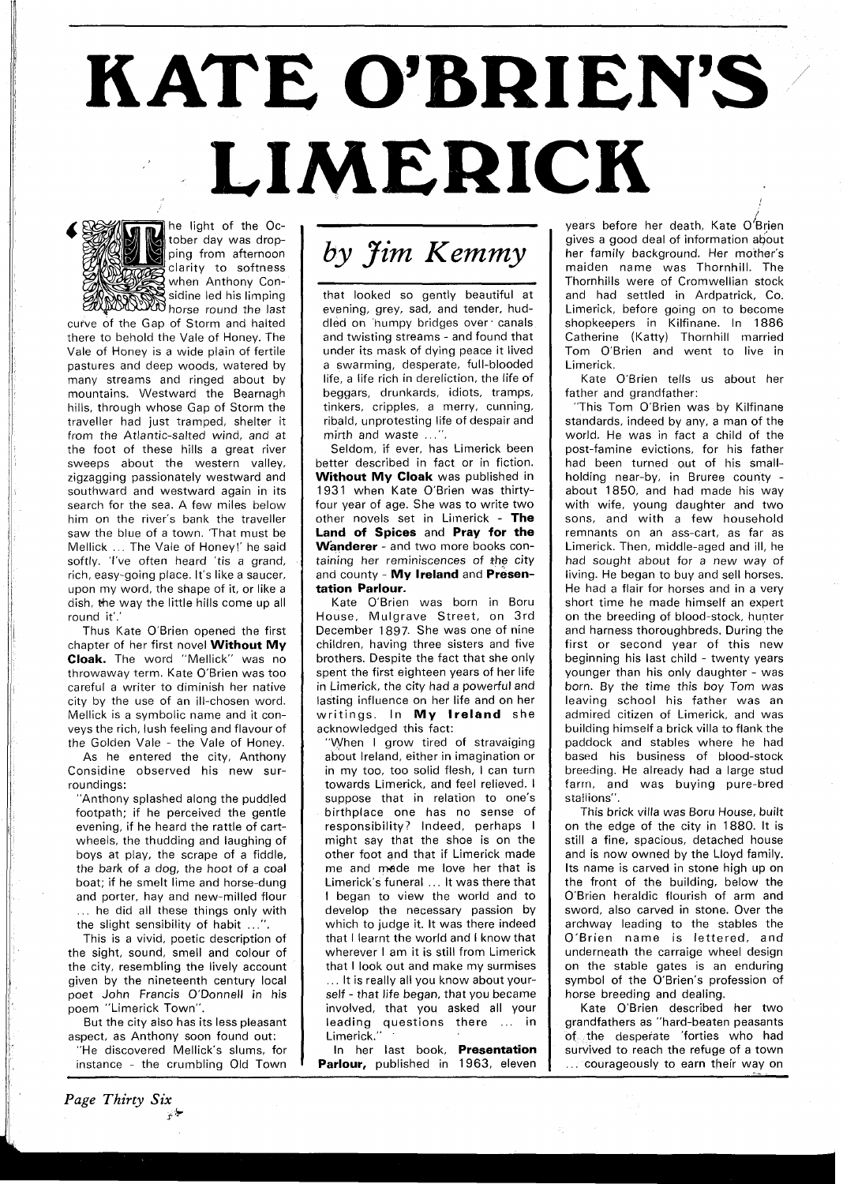## **KATE O'BRIEN'S** LIMERICK -



he light of the October day was dropping from afternoon clarity to softness WE when Anthony Con- $\zeta$  sidine led his limping **NOWN** horse round the last

curve of the Gap of Storm and halted there to behold the Vale of Honey. The Vale of Honey is a wide plain of fertile pastures and deep woods, watered by many streams and ringed about by mountains. Westward the Bearnagh hills, through whose Gap of Storm the traveller had just tramped, shelter it from the Atlantic-salted wind, and at the foot of these hills a great river sweeps about the western valley, zigzagging passionately westward and southward and westward again in its search for the sea. A few miles below him on the river's bank the traveller saw the blue of a town. 'That must be Mellick . . . The Vale of Honey!' he said softly. 'I've often heard 'tis a grand, rich, easy-going place. It's like a saucer, upon my word, the shape of it, or like a dish, the way the little hills come up all round it'.

Thus Kate O'Brien opened the first chapter of her first novel **Without My Cloak.** The word "Mellick" was no throwaway term. Kate O'Brien was too careful a writer to diminish her native city by the use of an ill-chosen word. Mellick is a symbolic name and it conveys the rich, lush feeling and flavour of the Golden Vale - the Vale of Honey.

As he entered the city, Anthony Considine observed his new surroundings:

"Anthony splashed along the puddled footpath; if he perceived the gentle evening, if he heard the rattle of cartwheels, the thudding and laughing of boys at play, the scrape of a fiddle, the bark of a dog, the hoot of a coal boat; if he smelt lime and horse-dung and porter, hay and new-milled flour ... he did all these things only with

the slight sensibility of habit ...". This is a vivid, poetic description of

the sight, sound, smell and colour of the city, resembling the lively account given by the nineteenth century local poet John Francis O'Donnell in his poem "Limerick Town".

But the city also has its less pleasant aspect, as Anthony soon found out:

"He discovered Mellick's slums, for instance - the crumbling Old Town



that looked so gently beautiful at evening, grey, sad, and tender, huddled on humpy bridges over' canals and twisting streams - and found that under its mask of dying peace it lived a swarming, desperate, full-blooded life, a life rich in dereliction, the life of beggars, drunkards, idiots, tramps, tinkers, cripples, a merry, cunning, ribald, unprotesting life of despair and mirth and waste  $\ldots$ ".

Seldom, if ever, has Limerick been better described in fact or in fiction. **Without My Cloak** was published in 1931 when Kate O'Brien was thirtyfour year of age. She was to write two other novels set in Limerick - **The Land of Spices** and **Pray for the Wanderer** - and two more books containing her reminiscences of **+he** city and county - **My Ireland** and **Presentation Parlour.** 

Kate O'Brien was born in Boru House, Mulgrave Street, on 3rd December 1897. She was one of nine children, having three sisters and five brothers. Despite the fact that she only spent the first eighteen years of her life in Limerick, the city had a powerful and lasting influence on her life and on her writings. In **My Ireland** she acknowledged this fact:

"When I grow tired of stravaiging about Ireland, either in imagination or in my too, too solid flesh, I can turn towards Limerick, and feel relieved. I suppose that in relation to one's birthplace one has no sense of responsibility? Indeed, perhaps I might say that the shoe is on the other foot and that if Limerick made me and made me love her that is Limerick's funeral ... It was there that I began to view the world and to develop the necessary passion by which to judge it. It was there indeed that I learnt the world and I know that wherever I am it is still from Limerick that I look out and make my surmises ... It is really all you know about yourself - that life began, that you became involved, that you asked all your leading questions there ... in Limerick."

In her last book, **Presentation**  Parlour, published in 1963, eleven

years before her death, Kate O $\overline{\mathcal{B}}$ rien gives a good deal of information about her family background. Her mother's maiden name was Thornhill. The Thornhills were of Cromwellian stock and had settled in Ardpatrick, Co. Limerick, before going on to become shopkeepers in Kilfinane. In 1886 Catherine (Katty) Thornhill married Tom O'Brien and went to live in Limerick.

Kate O'Brien tells us about her father and grandfather:

"This Tom O'Brien was by Kilfinane standards, indeed by any, a man of the world. He was in fact a child of the post-famine evictions, for his father had been turned out of his smallholding near-by, in Bruree county about 1850, and had made his way with wife, young daughter and two sons, and with a few household remnants on an ass-cart, as far as Limerick. Then, middle-aged and ill, he had sought about for a new way of living. He began to buy and sell horses. He had a flair for horses and in a very short time he made himself an expert on the breeding of blood-stock, hunter and harness thoroughbreds. During the first or second year of this new beginning his last child - twenty years younger than his only daughter - was born. By the time this boy Tom was leaving school his father was an admired citizen of Limerick, and was building himself a brick villa to flank the paddock and stables where he had based his business of blood-stock breeding. He already had a large stud farrn, and was buying pure-bred stallions".

This brick villa was Boru House, built on the edge of the city in 1880. It is still a fine, spacious, detached house and is now owned by the Lloyd family. Its name is carved in stone high up on the front of the building, below the O'Brien heraldic flourish of arm and sword, also carved in stone. Over the archway leading to the stables the O'Brien name is lettered, and underneath the carraige wheel design on the stable gates is an enduring symbol of the O'Brien's profession of horse breeding and dealing.

Kate O'Brien described her two grandfathers as "hard-beaten peasants of the desperate 'forties who had survived to reach the refuge of a town ... courageously to earn their way on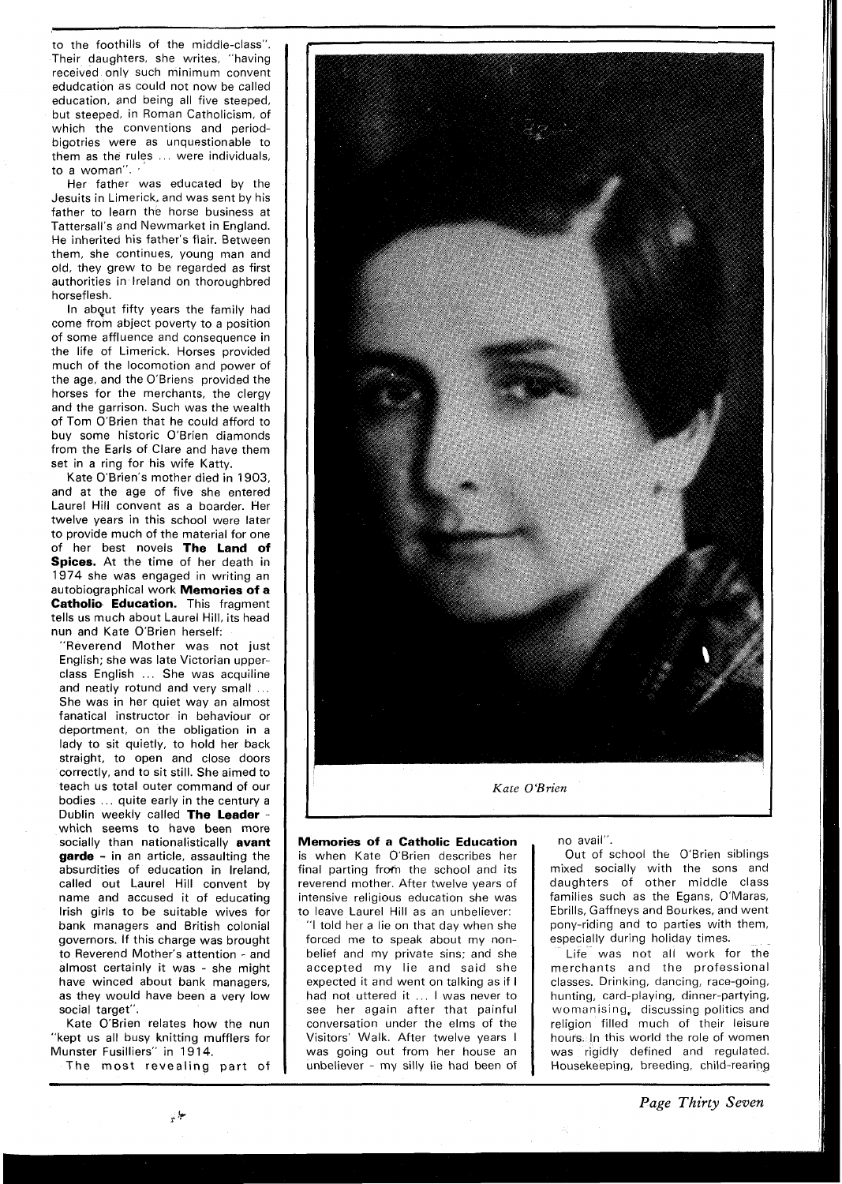to the foothills of the middle-class". Their daughters, she writes, "having received only such minimum convent edudcation as could not now be called education, and being all five steeped, but steeped, in Roman Catholicism, of which the conventions and periodbigotries were as unquestionable to them as the rules ... were individuals, to a woman".

Her father was educated by the Jesuits in Limerick, and was sent by his father to learn the horse business at Tattersall's and Newmarket in England. He inherited his father's flair. Between them, she continues, young man and old, they grew to be regarded as first authorities in Ireland on thoroughbred horseflesh.

In abqut fifty years the family had come from abject poverty to a position of some affluence and consequence in the life of Limerick. Horses provided much of the locomotion and power of the age, and the O'Briens provided the horses for the merchants, the clergy and the garrison. Such was the wealth of Tom O'Brien that he could afford to buy some historic O'Brien diamonds from the Earls of Clare and have them set in a ring for his wife Katty.

Kate O'Brien's mother died in 1903, and at the age of five she entered Laurel Hill convent as a boarder. Her twelve years in this school were later to provide much of the material for one of her best novels **The Land of Spices.** At the time of her death in 1974 she was engaged in writing an autobiographical work **Memories of a Catholio Education.** This fragment tells us much about Laurel Hill, its head nun and Kate O'Brien herself:

"Reverend Mother was not just English; she was late Victorian upperclass English ... She was acquiline and neatly rotund and very small ... She was in her quiet way an almost fanatical instructor in behaviour or deportment, on the obligation in a lady to sit quietly, to hold her back straight, to open and close doors correctly, and to sit still. She aimed to teach us total outer command of our bodies ... quite early in the century a Dublin weekly called **The Leader** - which seems to have been more socially than nationalistically **avant garde** - in an article, assaulting the absurdities of education in Ireland, called out Laurel Hill convent by name and accused it of educating Irish girls to be suitable wives for bank managers and British colonial governors. If this charge was brought to Reverend Mother's attention - and almost certainly it was - she might have winced about bank managers, as they would have been a very low social target".

Kate O'Brien relates how the nun "kept us all busy knitting mufflers for Munster Fusilliers" in 19 14.

The most revealing part of



**Memories of a Catholic Education**  is when Kate O'Brien describes her final parting from the school and its reverend mother. After twelve years of intensive religious education she was to leave Laurel Hill as an unbeliever:

"I told her a lie on that day when she forced me to speak about my nonbelief and my private sins; and she accepted my lie and said she expected it and went on talking as if I had not uttered it ... I was never to see her again after that painful conversation under the elms of the Visitors' Walk. After twelve years I was going out from her house an unbeliever - my silly lie had been of

no avail".

Out of school the O'Brien siblings mixed socially with the sons and daughters of other middle class families such as the Egans, O'Maras, Ebrills, Gaffneys and Bourkes, and went pony-riding and to parties with them, especially during holiday times.

Life was not all work for the merchants and the professional classes. Drinking, dancing, race-going, hunting, card-playing, dinner-partying, womanising, discussing politics and religion filled much of their leisure hours. In this world the role of women was rigidly defined and regulated. Housekeeping, breeding, child-rearing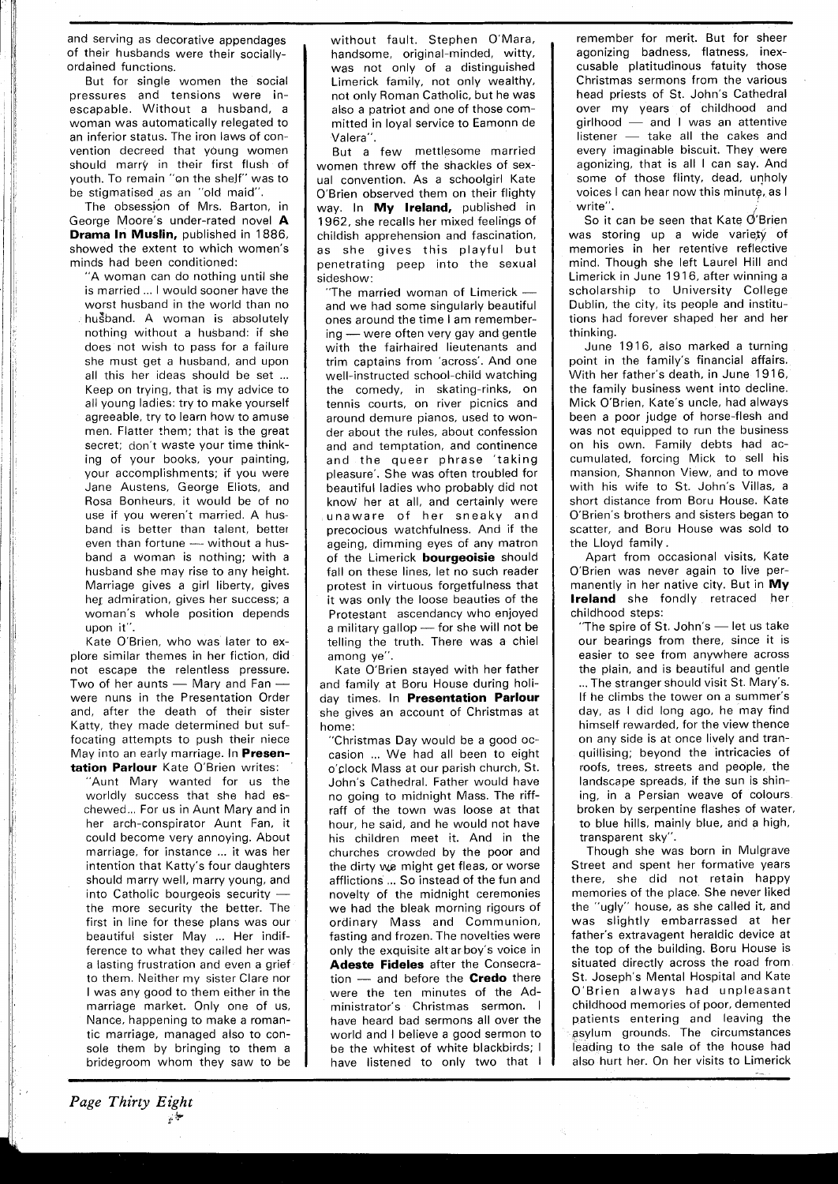and serving as decorative appendages of their husbands were their sociallyordained functions.

But for single women the social pressures and tensions were inescapable. Without a husband, a woman was automatically relegated to an inferior status. The iron laws of convention decreed that young women should marry in their first flush of youth. To remain "on the shelf" was to be stigmatised as an "old maid".

The obsession of Mrs. Barton, in George Moore's under-rated novel **A Drama In Muslin,** published in 1886, showed the extent to which women's minds had been conditioned:

"A woman can do nothing until she is married ... I would sooner have the worst husband in the world than no husband. A woman is absolutely nothing without a husband: if she does not wish to pass for a failure she must get a husband, and upon all this her ideas should be set ... Keep on trying, that is my advice to all young ladies: try to make yourself agreeable, try to learn how to amuse men. Flatter them: that is the great secret; don't waste your time thinking of your books, your painting, your accomplishments; if you were Jane Austens, George Eliots, and Rosa Bonheurs, it would be of no use if you weren't married. A hus-<br>band is better than talent, better<br>even than fortune — without a hus-<br>bend a vienne is position with a band is better than talent, better band a woman is nothing; with a husband she may rise to any height. Marriage gives a girl liberty, gives her admiration, gives her success; a woman's whole position depends upon it".

Kate O'Brien, who was later to explore similar themes in her fiction, didnot escape the relentless pressure.<br>Two of her aunts — Mary and Fan —<br>were turns in the Proceptation Order not escape the relentless pressure. were nuns in the Presentation Order and, after the death of their sister Katty, they made determined but suffocating attempts to push their niece May into an early marriage. In **Presentation Parlour** Kate O'Brien writes:

"Aunt Mary wanted for us the worldly success that she had eschewed .. For us in Aunt Mary and in her arch-conspirator Aunt Fan, it could become very annoying. About marriage, for instance ... it was her intention that Katty's four daughters should marry well, marry young, and into Catholic bourgeois security  $$ the more security the better. The first in line for these plans was our beautiful sister May ... Her indifference to what they called her was a lasting frustration and even a grief to them. Neither my sister Clare nor I was any good to them either in the marriage market. Only one of us, Nance, happening to make a romantic marriage, managed also to console them by bringing to them a bridegroom whom they saw to be without fault. Stephen O'Mara, handsome, original-minded, witty, was not only of a distinguished Limerick family, not only wealthy, not only Roman Catholic, but he was also a patriot and one of those committed in loyal service to Eamonn de Valera".

But a few mettlesome married women threw off the shackles of sexual convention. As a schoolgirl Kate O'Brien observed them on their flighty way. In **My Ireland,** published in 1962, she recalls her mixed feelings of childish apprehension and fascination, as she gives this playful but penetrating peep into the sexual sideshow:<br>
"The married woman of Limerick enetrating peep into the sexual<br>deshow:<br>"The married woman of Limerick —<br>and we had some singularly beautiful

ones around the time I am rememberand we had some singularly beautiful<br>ones around the time I am remember-<br>ing — were often very gay and gentle<br>with the fairbaired lieutenants and with the fairhaired lieutenants and trim captains from 'across'. And one well-instructed school-child watching the comedy, in skating-rinks, on tennis courts, on river picnics and around demure pianos, used to wonder about the rules, about confession and and temptation, and continence and the queer phrase 'taking pleasure'. She was often troubled for beautiful ladies who probably did not know her at all, and certainly were unaware of her sneaky and precocious watchfulness. And if the ageing, dimming eyes of any matron of the Limerick **bourgeoisie** should fall on these lines, let no such reader protest in virtuous forgetfulness that it was only the loose beauties of the Protestant ascendancy who enjoyed it was only the loose beauties of the<br>Protestant ascendancy who enjoyed<br>a military gallop --- for she will not be<br>talling the truth. There was a chiel telling the truth. There was a chiel among ye".

Kate O'Brien stayed with her father and family at Boru House during holiday times. In **Presentation Parlour**  she gives an account of Christmas at home:

"Christmas Day would be a good occasion ... We had all been to eight o'clock Mass at our parish church, St. John's Cathedral. Father would have no going to midnight Mass. The riffraff of the town was loose at that hour, he said, and he would not have his children meet it. And in the churches crowded by the poor and the dirty we might get fleas, or worse afflictions ... So instead of the fun and novelty of the midnight ceremonies we had the bleak morning rigours of ordinary Mass and Communion, fasting and frozen. The novelties were only the exquisite altar boy's voice in<br> **Adeste Fideles** after the Consecration — and before the **Credo** there<br>  $\frac{1}{2}$ **Adeste Fideles** after the Consecrawere the ten minutes of the Administrator's Christmas sermon. I have heard bad sermons all over the world and I believe a good sermon to be the whitest of white blackbirds; I have listened to only two that  $\|\cdot\|$ 

remember for merit. But for sheer agonizing badness, flatness, inexcusable platitudinous fatuity those Christmas sermons from the various head priests of St. John's Cathedral over my years of childhood and head priests of St. John's Cathedral<br>over my years of childhood and<br>girlhood — and I was an attentive<br>listener take all the cakes and over my years of childhood and<br>girlhood — and I was an attentive<br>listener — take all the cakes and<br>overy imaginable bisquit. They were every imaginable biscuit. They were agonizing, that is all I can say. And some of those flinty, dead, unholy voices I can hear now this minute, as I write".

So it can be seen that Kate  $O$ 'Brien was storing up a wide variety of memories in her retentive reflective mind. Though she left Laurel Hill and Limerick in June 1916, after winning a scholarship to University College Dublin, the city, its people and institutions had forever shaped her and her thinking.

June 1916, also marked a turning point in the family's financial affairs. With her father's death, in June 1916, the family business went into decline. Mick O'Brien, Kate's uncle, had always been a poor judge of horse-flesh and was not equipped to run the business on his own. Family debts had accumulated, forcing Mick to sell his mansion, Shannon View, and to move with his wife to St. John's Villas, a short distance from Boru House. Kate O'Brien's brothers and sisters began to scatter, and Boru House was sold to the Lloyd family.

Apart from occasional visits, Kate O'Brien was never again to live permanently in her native city. But in **My Ireland** she fondly retraced her childhood steps:<br>
"The spire of St. John's — let us take<br>
"It is series from there since it is

childhood steps:<br>"The spire of St. John's - let us take our bearings from there, since it is easier to see from anywhere across the plain, and is beautiful and gentle ... The stranger should visit St. Mary's. If he climbs the tower on a summer's day, as I did long ago, he may find himself rewarded, for the view thence on any side is at once lively and tranquillising; beyond the intricacies of roofs, trees, streets and people, the landscape spreads, if the sun is shining, in a Persian weave of colours broken by serpentine flashes of water, to blue hills, mainly blue, and a high, transparent sky".

Though she was born in Mulgrave Street and spent her formative years there, she did not retain happy memories of the place. She never liked the "ugly" house, as she called it, and was slightly embarrassed at her father's extravagent heraldic device at the top of the building. Boru House is situated directly across the road from St. Joseph's Mental Hospital and Kate O'Brien always had unpleasant childhood memories of poor, demented patients entering and leaving the asylum grounds. The circumstances leading to the sale of the house had also hurt her. On her visits to Limerick

**7-**